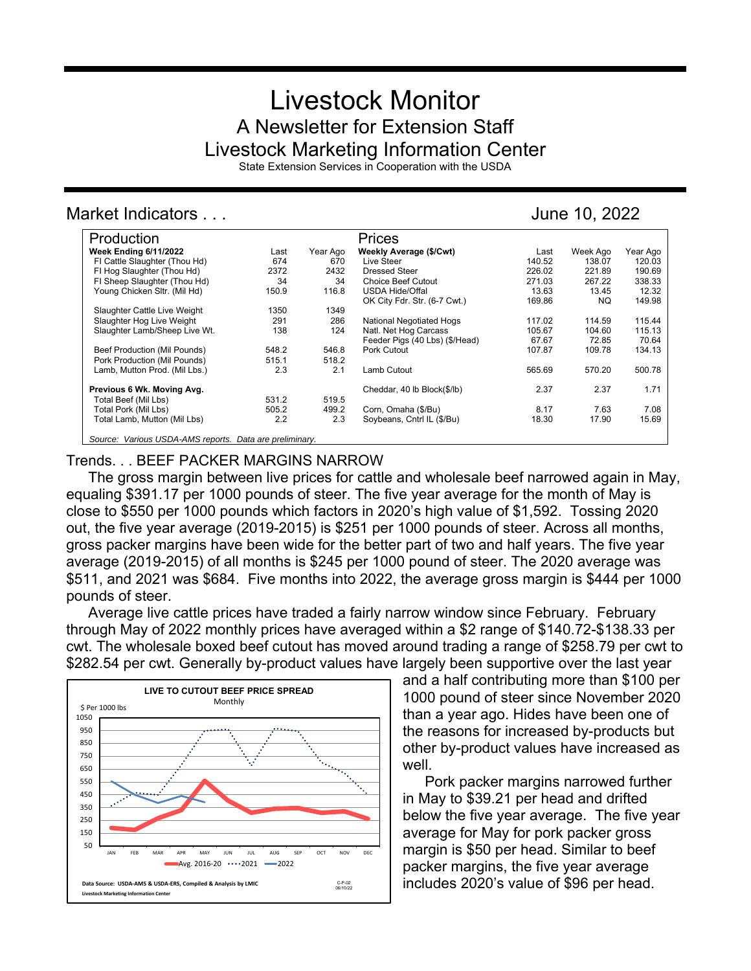# Livestock Monitor A Newsletter for Extension Staff Livestock Marketing Information Center

State Extension Services in Cooperation with the USDA

# Market Indicators . . . June 10, 2022

| Production                                              |       |          | Prices                         |        |          |          |
|---------------------------------------------------------|-------|----------|--------------------------------|--------|----------|----------|
| <b>Week Ending 6/11/2022</b>                            | Last  | Year Ago | Weekly Average (\$/Cwt)        | Last   | Week Ago | Year Ago |
| FI Cattle Slaughter (Thou Hd)                           | 674   | 670      | Live Steer                     | 140.52 | 138.07   | 120.03   |
| FI Hog Slaughter (Thou Hd)                              | 2372  | 2432     | <b>Dressed Steer</b>           | 226.02 | 221.89   | 190.69   |
| FI Sheep Slaughter (Thou Hd)                            | 34    | 34       | <b>Choice Beef Cutout</b>      | 271.03 | 267.22   | 338.33   |
| Young Chicken Sltr. (Mil Hd)                            | 150.9 | 116.8    | <b>USDA Hide/Offal</b>         | 13.63  | 13.45    | 12.32    |
|                                                         |       |          | OK City Fdr. Str. (6-7 Cwt.)   | 169.86 | NQ.      | 149.98   |
| Slaughter Cattle Live Weight                            | 1350  | 1349     |                                |        |          |          |
| Slaughter Hog Live Weight                               | 291   | 286      | National Negotiated Hogs       | 117.02 | 114.59   | 115.44   |
| Slaughter Lamb/Sheep Live Wt.                           | 138   | 124      | Natl. Net Hog Carcass          | 105.67 | 104.60   | 115.13   |
|                                                         |       |          | Feeder Pigs (40 Lbs) (\$/Head) | 67.67  | 72.85    | 70.64    |
| Beef Production (Mil Pounds)                            | 548.2 | 546.8    | Pork Cutout                    | 107.87 | 109.78   | 134.13   |
| Pork Production (Mil Pounds)                            | 515.1 | 518.2    |                                |        |          |          |
| Lamb, Mutton Prod. (Mil Lbs.)                           | 2.3   | 2.1      | Lamb Cutout                    | 565.69 | 570.20   | 500.78   |
| Previous 6 Wk. Moving Avg.                              |       |          | Cheddar, 40 lb Block(\$/lb)    | 2.37   | 2.37     | 1.71     |
| Total Beef (Mil Lbs)                                    | 531.2 | 519.5    |                                |        |          |          |
| Total Pork (Mil Lbs)                                    | 505.2 | 499.2    | Corn, Omaha (\$/Bu)            | 8.17   | 7.63     | 7.08     |
| Total Lamb, Mutton (Mil Lbs)                            | 2.2   | 2.3      | Soybeans, Cntrl IL (\$/Bu)     | 18.30  | 17.90    | 15.69    |
| Source: Various USDA-AMS reports. Data are preliminary. |       |          |                                |        |          |          |

## Trends. . . BEEF PACKER MARGINS NARROW

The gross margin between live prices for cattle and wholesale beef narrowed again in May, equaling \$391.17 per 1000 pounds of steer. The five year average for the month of May is close to \$550 per 1000 pounds which factors in 2020's high value of \$1,592. Tossing 2020 out, the five year average (2019-2015) is \$251 per 1000 pounds of steer. Across all months, gross packer margins have been wide for the better part of two and half years. The five year average (2019-2015) of all months is \$245 per 1000 pound of steer. The 2020 average was \$511, and 2021 was \$684. Five months into 2022, the average gross margin is \$444 per 1000 pounds of steer.

Average live cattle prices have traded a fairly narrow window since February. February through May of 2022 monthly prices have averaged within a \$2 range of \$140.72-\$138.33 per cwt. The wholesale boxed beef cutout has moved around trading a range of \$258.79 per cwt to \$282.54 per cwt. Generally by-product values have largely been supportive over the last year



and a half contributing more than \$100 per 1000 pound of steer since November 2020 than a year ago. Hides have been one of the reasons for increased by-products but other by-product values have increased as well.

Pork packer margins narrowed further in May to \$39.21 per head and drifted below the five year average. The five year average for May for pork packer gross margin is \$50 per head. Similar to beef packer margins, the five year average includes 2020's value of \$96 per head.